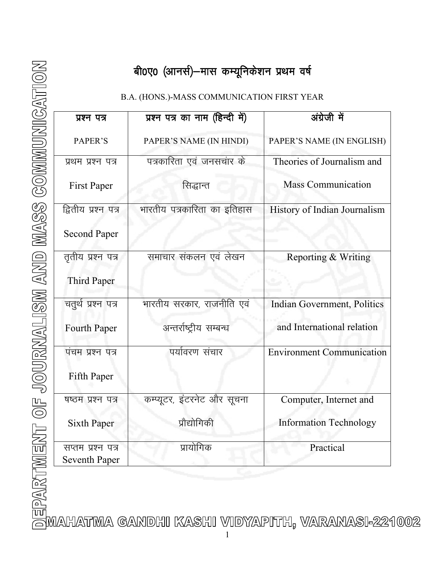# बी0ए0 (आनर्स)—मास कम्यूनिकेशन प्रथम वर्ष

## B.A. (HONS.)-MASS COMMUNICATION FIRST YEAR

| प्रश्न पत्र                                | प्रश्न पत्र का नाम (हिन्दी में) | अंग्रेजी में                       |
|--------------------------------------------|---------------------------------|------------------------------------|
| PAPER'S                                    | PAPER'S NAME (IN HINDI)         | PAPER'S NAME (IN ENGLISH)          |
| प्रथम प्रश्न पत्र                          | पत्रकारिता एवं जनसचार के        | Theories of Journalism and         |
| <b>First Paper</b>                         | सिद्धान्त                       | <b>Mass Communication</b>          |
| द्वितीय प्रश्न पत्र<br><b>Second Paper</b> | भारतीय पत्रकारिता का इतिहास     | History of Indian Journalism       |
| तृतीय प्रश्न पत्र<br><b>Third Paper</b>    | समाचार संकलन एवं लेखन           | Reporting & Writing                |
| चतुर्थ प्रश्न पत्र                         | भारतीय सरकार, राजनीति एवं       | <b>Indian Government, Politics</b> |
| Fourth Paper                               | अन्तर्राष्ट्रीय सम्बन्ध         | and International relation         |
| पंचम प्रश्न पत्र                           | पर्यावरण संचार                  | <b>Environment Communication</b>   |
| Fifth Paper                                |                                 |                                    |
| षष्ठम प्रश्न पत्र                          | कम्प्यूटर, इंटरनेट और सूचना     | Computer, Internet and             |
| <b>Sixth Paper</b>                         | प्रौद्योगिकी                    | <b>Information Technology</b>      |
| सप्तम प्रश्न पत्र<br><b>Seventh Paper</b>  | प्रायोगिक                       | Practical                          |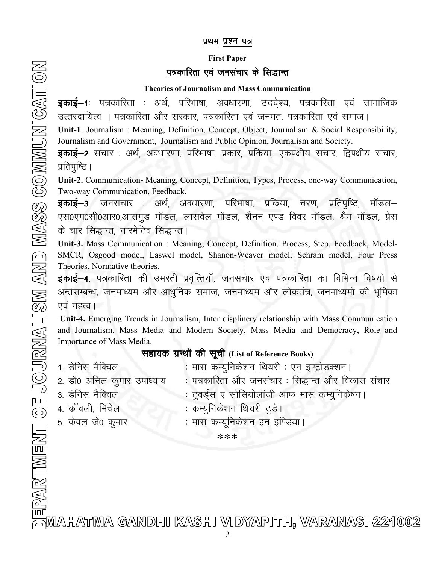#### प्रथम प्रश्न पत्र

#### First Paper

## पत्रकारिता एवं जनसंचार के सिद्धान्त

#### Theories of Journalism and Mass Communication

**डकाई–1**ः पत्रकारिता ः अर्थ, परिभाषा, अवधारणा, उददेश्य, पत्रकारिता एवं सामाजिक उत्तरदायित्व । पत्रकारिता और सरकार, पत्रकारिता एवं जनमत, पत्रकारिता एवं समाज।

Unit-1. Journalism : Meaning, Definition, Concept, Object, Journalism & Social Responsibility, Journalism and Government, Journalism and Public Opinion, Journalism and Society.

**इकाई–2** संचार : अर्थ, अवधारणा, परिभाषा, प्रकार, प्रक्रिया, एकपक्षीय संचार, द्विपक्षीय संचार, प्रतिपुष्टि ।

Unit-2. Communication- Meaning, Concept, Definition, Types, Process, one-way Communication, Two-way Communication, Feedback.

**इकाई–3.** जनसंचार : अर्थ, अवधारणा, परिभाषा, प्रकिया, चरण, प्रतिपुष्टि, मॉडल– एस0एम0सी0आर0,आसगुड मॉडल, लासवेल मॉडल, शैनन एण्ड विवर मॉडल, श्रैम मॉडल, प्रेस के चार सिद्धान्त, नारमेटिव सिद्धान्त।

Unit-3. Mass Communication : Meaning, Concept, Definition, Process, Step, Feedback, Model-SMCR, Osgood model, Laswel model, Shanon-Weaver model, Schram model, Four Press Theories, Normative theories.

**इकाई–4**. पत्रकारिता की उभरती प्रवृत्तियॉ, जनसंचार एवं पत्रकारिता का विभिन्न विषयों से अर्न्तसम्बन्ध, जनमाध्यम और आधुनिक समाज, जनमाध्यम और लोकतंत्र, जनमाध्यमों की भूमिका एवं महत्व।

Unit-4. Emerging Trends in Journalism, Inter displinery relationship with Mass Communication and Journalism, Mass Media and Modern Society, Mass Media and Democracy, Role and Importance of Mass Media.

## सहायक ग्रन्थों की सूची (List of Reference Books)

| 1. डेनिस मैक्विल           | : मास कम्युनिकेशन थियरी : एन इण्ट्रोडक्शन।         |
|----------------------------|----------------------------------------------------|
| 2. डॉ0 अनिल कुमार उपाध्याय | : पत्रकारिता और जनसंचार : सिद्धान्त और विकास संचार |
| 3. डेनिस मैक्विल           | : ट्वर्ड्स ए सोसियोलॉजी आफ मास कम्युनिकेषन।        |
| 4. कॉवली, मिचेल            | : कम्युनिकेशन थियरी टुडे।                          |
| 5. केवल जे0 कुमार          | : मास कम्यूनिकेशन इन इण्डिया।                      |

\*\*\*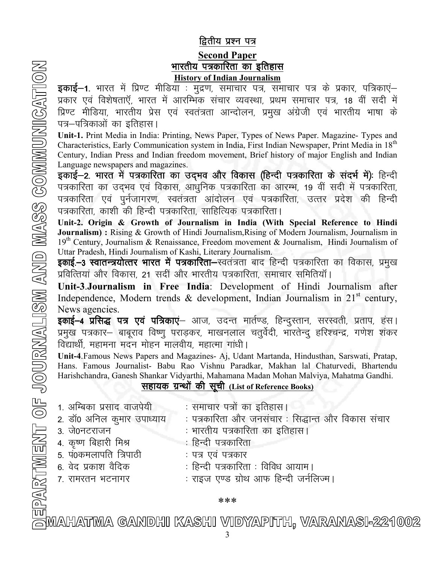## द्वितीय प्रश्न पत्र

### **Second Paper** भारतीय पत्रकारिता का इतिहास History of Indian Journalism

**इकाई–1.** भारत में प्रिण्ट मीडिया : मुद्रण, समाचार पत्र, समाचार पत्र के प्रकार, पत्रिकाएं– प्रकार एवं विशेषताएँ, भारत में आरम्भिक संचार व्यवस्था, प्रथम समाचार पत्र, 18 वीं सदी में प्रिण्ट मीडिया, भारतीय प्रेस एवं स्वतंत्रता आन्दोलन, प्रमुख अंग्रेजी एवं भारतीय भाषा के पत्र–पत्रिकाओं का इतिहास।

Unit-1. Print Media in India: Printing, News Paper, Types of News Paper. Magazine- Types and Characteristics, Early Communication system in India, First Indian Newspaper, Print Media in 18<sup>th</sup> Century, Indian Press and Indian freedom movement, Brief history of major English and Indian Language newspapers and magazines.

इकाई–2. भारत में पत्रकारिता का उदभव और विकास (हिन्दी पत्रकारिता के संदर्भ में): हिन्दी पत्रकारिता का उदमव एवं विकास, आधुनिक पत्रकारिता का आरम्भ, 19 वीं सदी में पत्रकारिता, पत्रकारिता एवं पूर्नजागरण, स्वतंत्रता आंदोलन एवं पत्रकारिता, उत्तर प्रदेश की हिन्दी पत्रकारिता, काशी की हिन्दी पत्रकारिता, साहित्यिक पत्रकारिता।

Unit-2. Origin & Growth of Journalism in India (With Special Reference to Hindi Journalism) : Rising & Growth of Hindi Journalism, Rising of Modern Journalism, Journalism in 19<sup>th</sup> Century, Journalism & Renaissance, Freedom movement & Journalism, Hindi Journalism of Uttar Pradesh, Hindi Journalism of Kashi, Literary Journalism.

इकाई.-3 स्वातन्त्रयोत्तर भारत में पत्रकारिता-स्वतंत्रता बाद हिन्दी पत्रकारिता का विकास, प्रमुख प्रवित्तियां और विकास, 21 सदीं और भारतीय पत्रकारिता, समाचार समितियाँ।

Unit-3.Journalism in Free India: Development of Hindi Journalism after Independence, Modern trends  $\&$  development, Indian Journalism in 21<sup>st</sup> century, News agencies.

इकाई–4 प्रसिद्ध पत्र एवं पत्रिकाएं– आज, उदन्त मार्तण्ड, हिन्दुस्तान, सरस्वती, प्रताप, हंस। प्रमुख पत्रकार— बाबूराव विष्णू पराड़कर, माखनलाल चतुर्वेदी, भारतेन्द् हरिश्चन्द्र, गणेश शंकर विद्यार्थी, महामना मदन मोहन मालवीय, महात्मा गांधी।

Unit-4. Famous News Papers and Magazines- Aj, Udant Martanda, Hindusthan, Sarswati, Pratap, Hans. Famous Journalist- Babu Rao Vishnu Paradkar, Makhan lal Chaturvedi, Bhartendu Harishchandra, Ganesh Shankar Vidyarthi, Mahamana Madan Mohan Malviya, Mahatma Gandhi.

## सहायक ग्रन्थों की सूची (List of Reference Books)

1. अम्बिका प्रसाद वाजपेयी : समाचार पत्रों का इतिहास। 2. डॉ0 अनिल कुमार उपाध्याय : पत्रकारिता और जनसंचार : सिद्धान्त और विकास संचार 3- ts0uVjktu % Hkkjrh; i=dkfjrk dk bfrgklA 4. कृष्ण बिहारी मिश्र $\longrightarrow$  : हिन्दी पत्रकारिता 5. पं0कमलापति त्रिपाठी : पत्र एवं पत्रकार 6. वेद प्रकाश वैदिक : हिन्दी पत्रकारिता : विविध आयाम। 7. रामरतन भटनागर : राइज एण्ड ग्रोथ आफ हिन्दी जर्नलिज्म।

\*\*\*

<del>.</del><br>FMAHATMA GANDHI KASHI VIDYAPITH, VARANASI-221002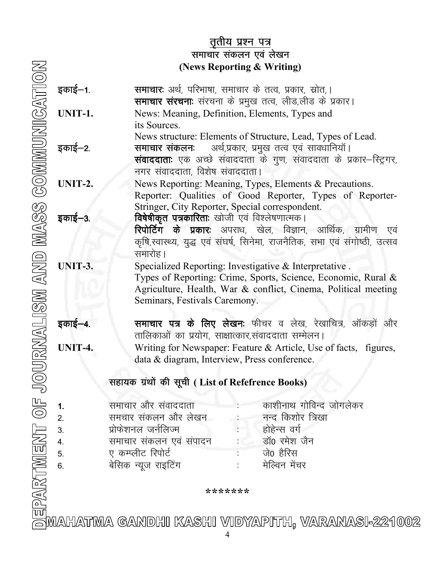## <u>तृतीय प्रश्न पत्र</u> समाचार संकलन एवं लेखन (News Reporting & Writing)

| इकाई–1.                          | समाचार: अर्थ, परिभाषा, समाचार के तत्व, प्रकार, स्रोत,।<br>समाचार संरचनाः संरचना के प्रमुख तत्व, लीड,लीड के प्रकार।                                                                                                                                                        |
|----------------------------------|---------------------------------------------------------------------------------------------------------------------------------------------------------------------------------------------------------------------------------------------------------------------------|
| UNIT-1.                          | News: Meaning, Definition, Elements, Types and<br>its Sources.                                                                                                                                                                                                            |
| इकाई–2.                          | News structure: Elements of Structure, Lead, Types of Lead.<br><b>समाचार संकलनः</b> अर्थ,प्रकार, प्रमुख तत्व एवं सावधानियाँ।<br><b>संवाददाताः</b> एक अच्छे संवाददाता के गुण, संवाददाता के प्रकार–स्ट्रिगर,<br>नगर संवाददाता, विशेष संवाददाता।                             |
| UNIT-2.                          | News Reporting: Meaning, Types, Elements & Precautions.<br>Reporter: Qualities of Good Reporter, Types of Reporter-                                                                                                                                                       |
| इकाई—3.                          | Stringer, City Reporter, Special correspondent.<br><b>विषेषीकृत पत्रकारिताः</b> खोजी एवं विश्लेषणात्मक।<br><b>रिपोर्टिग के प्रकारः</b> अपराध, खेल, विज्ञान, आर्थिक, ग्रामीण एवं<br>कृषि,स्वास्थ्य, युद्ध एवं संघर्ष, सिनेमा, राजनैतिक, सभा एवं संगोष्ठी, उत्सव<br>समारोह। |
| UNIT-3.                          | Specialized Reporting: Investigative & Interpretative.<br>Types of Reporting: Crime, Sports, Science, Economic, Rural &<br>Agriculture, Health, War & conflict, Cinema, Political meeting<br>Seminars, Festivals Caremony.                                                |
| इकाई–4.                          | समाचार पत्र के लिए लेखनः फीचर व लेख, रेखाचित्र, ऑकड़ों और<br>तालिकाओं का प्रयोग, साक्षात्कार,संवाददाता सम्मेलन।                                                                                                                                                           |
| UNIT-4.                          | Writing for Newspaper: Feature & Article, Use of facts, figures,<br>data & diagram, Interview, Press conference.                                                                                                                                                          |
|                                  | सहायक ग्रंथों की सूची (List of Refefrence Books)                                                                                                                                                                                                                          |
| 1.<br>2.<br>3.<br>4.<br>5.<br>6. | काशीनाथ गोविन्द जोगलेकर<br>समाचार और संवाददाता<br>समचार संकलन और लेखन<br>नन्द किशोर त्रिखा<br>प्रोफेशनल जर्नलिज्म<br>होहेन्स वर्ग<br>डॉ0 रमेश जैन<br>समाचार संकलन एवं संपादन<br>ए कम्प्लीट रिपोर्ट<br>जे0 हैरिस<br>मेल्विन मेंचर<br>बेसिक न्यूज राइटिंग                   |

\*\*\*\*\*\*\*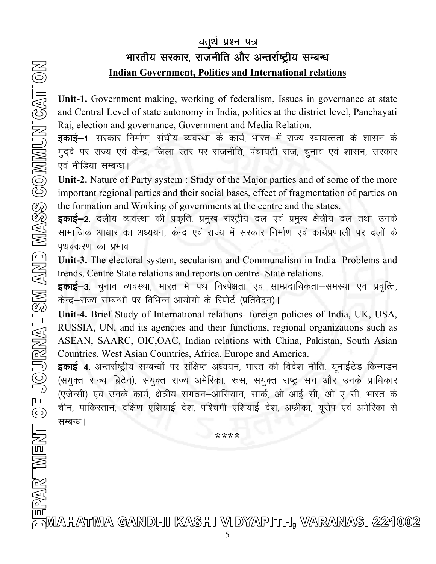## चतुर्थ प्रश्न पत्र <u>भारतीय सरकार, राजनीति और अन्तर्राष्ट्रीय सम्बन्ध</u> Indian Government, Politics and International relations

Unit-1. Government making, working of federalism, Issues in governance at state and Central Level of state autonomy in India, politics at the district level, Panchayati Raj, election and governance, Government and Media Relation.

**इकाई–1**. सरकार निर्माण, संघीय व्यवस्था के कार्य, भारत में राज्य स्वायत्तता के शासन के मुददे पर राज्य एवं केन्द्र, जिला स्तर पर राजनीति, पंचायती राज, चुनाव एवं शासन, सरकार एवं मीडिया सम्बन्ध।

Unit-2. Nature of Party system : Study of the Major parties and of some of the more important regional parties and their social bases, effect of fragmentation of parties on the formation and Working of governments at the centre and the states.

**इकाई–2**. दलीय व्यवस्था की प्रकृति, प्रमुख राश्ट्रीय दल एवं प्रमुख क्षेत्रीय दल तथा उनके सामाजिक आधार का अध्ययन, केन्द्र एवं राज्य में सरकार निर्माण एवं कार्यप्रणाली पर दलों के पृथक्करण का प्रभाव।

Unit-3. The electoral system, secularism and Communalism in India- Problems and trends, Centre State relations and reports on centre- State relations.

**इकाई–3.** चुनाव व्यवस्था, भारत में पंथ निरपेक्षता एवं साम्प्रदायिकता–समस्या एवं प्रवृत्ति, केन्द्र-राज्य सम्बन्धों पर विभिन्न आयोगों के रिपोर्ट (प्रतिवेदन)।

Unit-4. Brief Study of International relations- foreign policies of India, UK, USA, RUSSIA, UN, and its agencies and their functions, regional organizations such as ASEAN, SAARC, OIC,OAC, Indian relations with China, Pakistan, South Asian Countries, West Asian Countries, Africa, Europe and America.

इकाई–4. अन्तर्राष्ट्रीय सम्बन्धों पर संक्षिप्त अध्ययन, भारत की विदेश नीति, यूनाईटेड किन्गडन (संयुक्त राज्य ब्रिटेन), संयुक्त राज्य अमेरिका, रूस, संयुक्त राष्ट्र संघ और उनके प्राधिकार (एजेन्सी) एवं उनके कार्य, क्षेत्रीय संगठन–आसियान, सार्क, ओ आई सी, ओ ए सी, भारत के चीन, पाकिस्तान, दक्षिण एशियाई देश, पश्चिमी एशियाई देश, अफ्रीका, यूरोप एवं अमेरिका से सम्बन्ध।

PARTMENT OF JOURNALISM AND MASS COMMUNICATION ∏oo

\*\*\*\*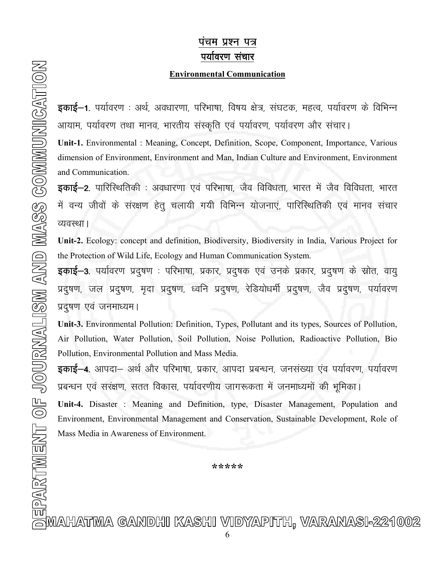## पचम प्रश्न पत्र पर्यावरण संचार

#### Environmental Communication

इकाई–1. पर्यावरण : अर्थ, अवधारणा, परिभाषा, विषय क्षेत्र, संघटक, महत्व, पर्यावरण के विभिन्न आयाम, पर्यावरण तथा मानव, भारतीय संस्कृति एवं पर्यावरण, पर्यावरण और संचार।

Unit-1. Environmental : Meaning, Concept, Definition, Scope, Component, Importance, Various dimension of Environment, Environment and Man, Indian Culture and Environment, Environment and Communication.

**इकाई–2.** पारिस्थितिकी : अवधारणा एवं परिभाषा, जैव विविधता, भारत में जैव विविधता, भारत में वन्य जीवों के संरक्षण हेतु चलायी गयी विभिन्न योजनाएं, पारिस्थितिकी एवं मानव संचार व्यवस्था ।

Unit-2. Ecology: concept and definition, Biodiversity, Biodiversity in India, Various Project for the Protection of Wild Life, Ecology and Human Communication System.

**इकाई—3**. पर्यावरण प्रदुषण : परिभाषा, प्रकार, प्रदुषक एवं उनके प्रकार, प्रदुषण के स्रोत, वायु प्रदुषण, जल प्रदुषण, मृदा प्रदुषण, ध्वनि प्रदुषण, रेडियोधर्मी प्रदुषण, जैव प्रदुषण, पर्यावरण प्रदुषण एवं जनमाध्यम।

Unit-3. Environmental Pollution: Definition, Types, Pollutant and its types, Sources of Pollution, Air Pollution, Water Pollution, Soil Pollution, Noise Pollution, Radioactive Pollution, Bio Pollution, Environmental Pollution and Mass Media.

**इकाई–4.** आपदा– अर्थ और परिभाषा, प्रकार, आपदा प्रबन्धन, जनसंख्या एंव पर्यावरण, पर्यावरण प्रबन्धन एवं सरंक्षण, सतत विकास, पर्यावरणीय जागरूकता में जनमाध्यमों की भूमिका।

Unit-4. Disaster : Meaning and Definition, type, Disaster Management, Population and Environment, Environmental Management and Conservation, Sustainable Development, Role of Mass Media in Awareness of Environment.

\*\*\*\*\*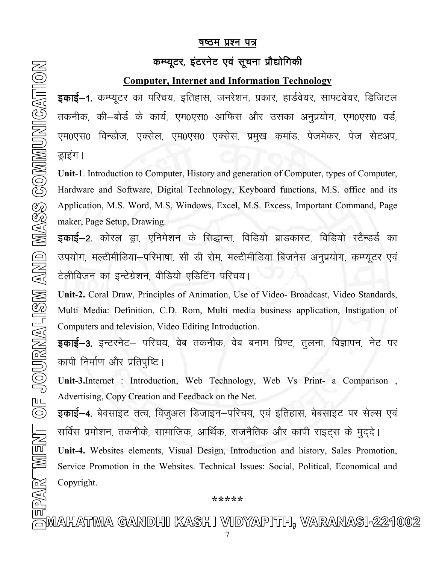## <u>षष्ठम प्रश्न पत्र</u>

## <u>कम्प्यूटर, इंटरनेट एवं सूचना प्रौद्योगिकी</u>

#### Computer, Internet and Information Technology

**इकाई–1**. कम्प्यूटर का परिचय, इतिहास, जनरेशन, प्रकार, हार्डवेयर, साफ्टवेयर, डिजिटल तकनीक, की—बोर्ड के कार्य, एम0एस0 आफिस और उसका अनुप्रयोग, एम0एस0 वर्ड, एम0एस0 विन्डोज, एक्सेल, एम0एस0 एक्सेस, प्रमुख कमांड, पेजमेकर, पेज सेटअप, ड्राइंग ।

Unit-1. Introduction to Computer, History and generation of Computer, types of Computer, Hardware and Software, Digital Technology, Keyboard functions, M.S. office and its Application, M.S. Word, M.S, Windows, Excel, M.S. Excess, Important Command, Page maker, Page Setup, Drawing.

**इकाई–2**. कोरल ड्रा, एनिमेशन के सिद्धान्त, विडियो ब्राडकास्ट, विडियो स्टैन्डर्ड का उपयोग, मल्टीमीडिया—परिभाषा, सी डी रोम, मल्टीमीडिया बिजनेस अनुप्रयोग, कम्प्यूटर एवं टेलीविजन का इन्टेग्रेशन, वीडियो एडिटिंग परिचय।

Unit-2. Coral Draw, Principles of Animation, Use of Video- Broadcast, Video Standards, Multi Media: Definition, C.D. Rom, Multi media business application, Instigation of Computers and television, Video Editing Introduction.

**इकाई–3**. इन्टरनेट– परिचय, वेब तकनीक, वेब बनाम प्रिण्ट, तुलना, विज्ञापन, नेट पर कापी निर्माण और प्रतिपुष्टि ।

Unit-3.Internet : Introduction, Web Technology, Web Vs Print- a Comparison , Advertising, Copy Creation and Feedback on the Net.

**इकाई—4**. बेवसाइट तत्व, विजुअल डिजाइन—परिचय, एवं इतिहास, बेबसाइट पर सेल्स एवं सर्विस प्रमोशन, तकनीके, सामाजिक, आर्थिक, राजनैतिक और कापी राइट्स के मुद्दे।

Unit-4. Websites elements, Visual Design, Introduction and history, Sales Promotion, Service Promotion in the Websites. Technical Issues: Social, Political, Economical and Copyright.

## \*\*\*\*\*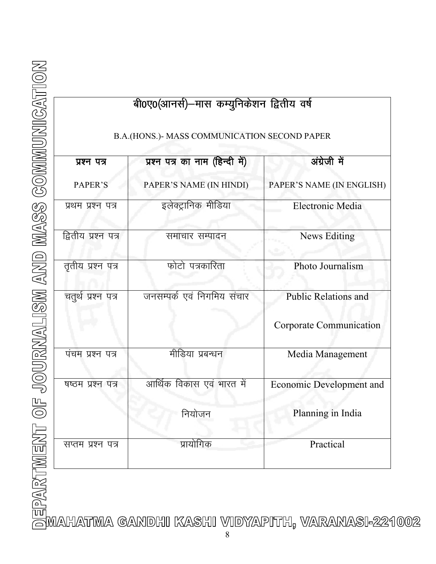|  | <b>EXECUTION CONTROLLED AND CONTRACT CONTRACT CONTRACT CONTRACT CONTRACT CONTRACT CONTRACT CONTRACT CONTRACT CONTRACT CONTRACT CONTRACT CONTRACT CONTRACT CONTRACT CONTRACT CONTRACT CONTRACT CONTRACT CONTRACT CONTRACT CONTRA</b> |
|--|-------------------------------------------------------------------------------------------------------------------------------------------------------------------------------------------------------------------------------------|
|  |                                                                                                                                                                                                                                     |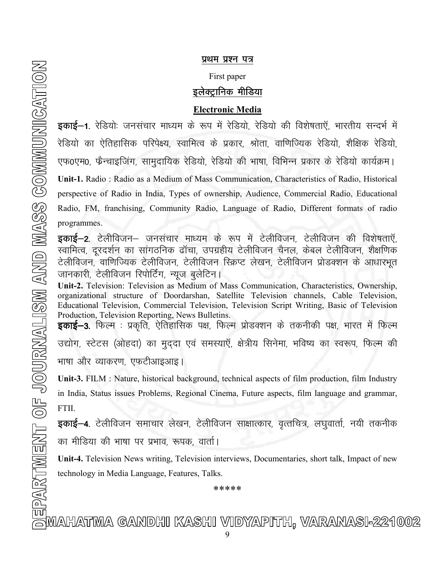#### प्रथम प्रश्न पत्र

#### First paper

## इलेक्ट्रानिक मीडिया

#### Electronic Media

**इकाई–1**. रेडियोः जनसंचार माध्यम के रूप में रेडियो, रेडियो की विशेषताऍ, भारतीय सन्दर्भ में रेडियो का ऐतिहासिक परिपेक्ष्य, स्वामित्व के प्रकार, श्रोता, वाणिज्यिक रेडियो, शैक्षिक रेडियो, एफ0एम0, फैन्चाइजिंग, सामुदायिक रेडियो, रेडियो की भाषा, विभिन्न प्रकार के रेडियो कार्यक्रम। Unit-1. Radio : Radio as a Medium of Mass Communication, Characteristics of Radio, Historical perspective of Radio in India, Types of ownership, Audience, Commercial Radio, Educational Radio, FM, franchising, Community Radio, Language of Radio, Different formats of radio programmes.

**इकाई–2**. टेलीविजन– जनसंचार माध्यम के रूप में टेलीविजन, टेलीविजन की विशेषताएँ, स्वामित्व, दूरदर्शन का सांगठनिक ढॉचा, उपग्रहीय टेलीविजन चैनल, केबल टेलीविजन, शैक्षणिक टेलीविजन, वाणिज्यिक टेलीविजन, टेलीविजन स्क्रिप्ट लेखन, टेलीविजन प्रोडक्शन के आधारभूत जानकारी, टेलीविजन रिपोर्टिंग, न्युज बुलेटिन।

Unit-2. Television: Television as Medium of Mass Communication, Characteristics, Ownership, organizational structure of Doordarshan, Satellite Television channels, Cable Television, Educational Television, Commercial Television, Television Script Writing, Basic of Television Production, Television Reporting, News Bulletins.

इकाई–3. फिल्म : प्रकृति, ऐतिहासिक पक्ष, फिल्म प्रोडक्शन के तकनीकी पक्ष, भारत में फिल्म उद्योग, स्टेटस (ओहदा) का मुददा एवं समस्याएँ, क्षेत्रीय सिनेमा, भविष्य का स्वरूप, फिल्म की भाषा और व्याकरण, एफटीआइआइ।

Unit-3. FILM : Nature, historical background, technical aspects of film production, film Industry in India, Status issues Problems, Regional Cinema, Future aspects, film language and grammar, FTII.

 $\frac{1}{2}$ काई—4. टेलीविजन समाचार लेखन, टेलीविजन साक्षात्कार, वृत्तचित्र, लघुवार्ता, नयी तकनीक का मीडिया की भाषा पर प्रभाव, रूपक, वार्ता।

Unit-4. Television News writing, Television interviews, Documentaries, short talk, Impact of new technology in Media Language, Features, Talks.

\*\*\*\*\*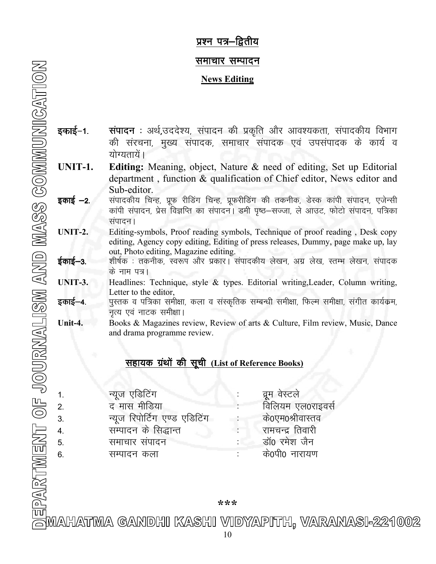### प्रश्न पत्र—द्वितीय

#### समाचार सम्पादन

#### News Editing

- इकाई-1. संपादन : अर्थ,उददेश्य, संपादन की प्रकृति और आवश्यकता, संपादकीय विभाग की संरचना, मुख्य संपादक, समाचार संपादक एवं उपसंपादक के कार्य व योग्यतायें।
- UNIT-1. Editing: Meaning, object, Nature & need of editing, Set up Editorial department , function & qualification of Chief editor, News editor and Sub-editor.
- **इकाई –2.** संपादकीय चिन्ह, प्रूफ रीडिंग चिन्ह, प्रूफरीडिंग की तकनीक, डेस्क कांपी संपादन, एजेन्सी कांपी संपादन, प्रेस विज्ञप्ति का संपादन। डमी पृष्ठ–सज्जा, ले आउट, फोटो संपादन, पत्रिका संपादन।
- UNIT-2. Editing-symbols, Proof reading symbols, Technique of proof reading , Desk copy editing, Agency copy editing, Editing of press releases, Dummy, page make up, lay out, Photo editing, Magazine editing.
- **ईकाई–3.** शीर्षक : तकनीक, स्वरूप और प्रकार। संपादकीय लेखन, अग्र लेख, स्तम्भ लेखन, संपादक के नाम पत्र।
- UNIT-3. Headlines: Technique, style & types. Editorial writing,Leader, Column writing, Letter to the editor,
- **इकाई—4.** पुस्तक व पत्रिका समीक्षा, कला व संस्कृतिक सम्बन्धी समीक्षा, फिल्म समीक्षा, संगीत कार्यक्रम, नृत्य एवं नाटक समीक्षा।
- Unit-4. Books & Magazines review, Review of arts & Culture, Film review, Music, Dance and drama programme review.

## सहायक ग्रंथों की सूची (List of Reference Books)

|    | न्यूज एडिटिंग                 | व्रुम वेस्टले    |
|----|-------------------------------|------------------|
| 2. | द मास मीडिया                  | विलियम एल0राइवसे |
| 3. | न्यूज रिपोर्टिंग एण्ड एडिटिंग | के0एम0श्रीवास्तव |
| 4. | सम्पादन के सिद्धान्त          | रामचन्द्र तिवारी |
| 5. | समाचार संपादन                 | डॉ0 रमेश जैन     |
| 6. | सम्पादन कला                   | के0पी0 नारायण    |

\*\*\*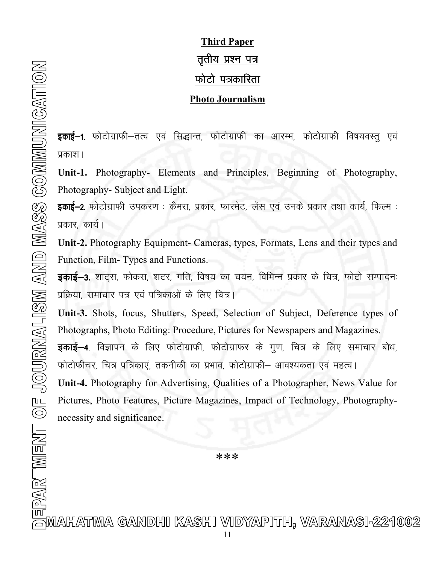# Third Paper तृतीय प्रश्न पत्र फोटो पत्रकारिता Photo Journalism

इकाई–1. फोटोग्राफी–तत्व एवं सिद्धान्त, फोटोग्राफी का आरम्भ, फोटोग्राफी विषयवस्तू एवं प्रकाश।

Unit-1. Photography- Elements and Principles, Beginning of Photography, Photography- Subject and Light.

इकाई-2. फोटोग्राफी उपकरण : कैमरा, प्रकार, फारमेट, लेंस एवं उनके प्रकार तथा कार्य, फिल्म : प्रकार, कार्य।

Unit-2. Photography Equipment- Cameras, types, Formats, Lens and their types and Function, Film- Types and Functions.

इकाई-3. शाट्स, फोकस, शटर, गति, विषय का चयन, विभिन्न प्रकार के चित्र, फोटो सम्पादनः प्रक्रिया, समाचार पत्र एवं पत्रिकाओं के लिए चित्र।

Unit-3. Shots, focus, Shutters, Speed, Selection of Subject, Deference types of Photographs, Photo Editing: Procedure, Pictures for Newspapers and Magazines.

इकाई–4. विज्ञापन के लिए फोटोग्राफी, फोटोग्राफर के गूण, चित्र के लिए समाचार बोध, फोटोफीचर, चित्र पत्रिकाएं, तकनीकी का प्रभाव, फोटोग्राफी– आवश्यकता एवं महत्व।

Unit-4. Photography for Advertising, Qualities of a Photographer, News Value for Pictures, Photo Features, Picture Magazines, Impact of Technology, Photographynecessity and significance.

\*\*\*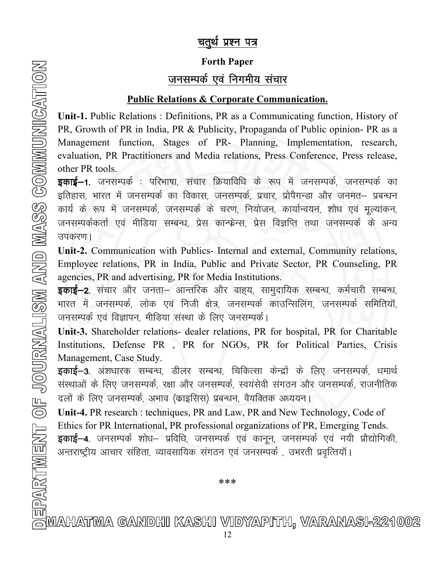## चतुर्थ प्रश्न पत्र

# Forth Paper जनसम्पर्क एवं निगमीय संचार

## Public Relations & Corporate Communication.

Unit-1. Public Relations : Definitions, PR as a Communicating function, History of PR, Growth of PR in India, PR & Publicity, Propaganda of Public opinion- PR as a Management function, Stages of PR- Planning, Implementation, research, evaluation, PR Practitioners and Media relations, Press Conference, Press release, other PR tools.

**इकाई–1.** जनसम्पर्क : परिभाषा, संचार क्रियाविधि के रूप में जनसम्पर्क, जनसम्पर्क का इतिहास, भारत में जनसम्पर्क का विकास, जनसम्पर्क, प्रचार, प्रोपैगन्डा और जनमत– प्रबन्धन कार्य के रूप में जनसम्पर्क, जनसम्पर्क के चरण, नियोजन, कार्यान्वयन, शोध एवं मुल्यांकन, जनसम्पर्ककर्ता एवं मीडिया सम्बन्ध, प्रेस कान्फ्रेन्स, प्रेस विज्ञप्ति तथा जनसम्पर्क के अन्य उपकरण।

Unit-2. Communication with Publics- Internal and external, Community relations, Employee relations, PR in India, Public and Private Sector, PR Counseling, PR agencies, PR and advertising, PR for Media Institutions.

**इकाई–2**. संचार और जनता– आन्तरिक और वाहय, सामुदायिक सम्बन्ध, कर्मचारी सम्बन्ध, भारत में जनसम्पर्क, लोक एवं निजी क्षेत्र, जनसम्पर्क काउन्सिलिंग, जनसम्पर्क समितियाँ, जनसम्पर्क एवं विज्ञापन, मीडिया संस्था के लिए जनसम्पर्क।

Unit-3. Shareholder relations- dealer relations, PR for hospital, PR for Charitable Institutions, Defense PR , PR for NGOs, PR for Political Parties, Crisis Management, Case Study.

इकाई–3. अंशधारक सम्बन्ध, डीलर सम्बन्ध, चिकित्सा केन्द्रों के लिए जनसम्पर्क, धमार्थ संस्थाओं के लिए जनसम्पर्क, रक्षा और जनसम्पर्क, स्वयंसेवी संगठन और जनसम्पर्क, राजनीतिक दलों के लिए जनसम्पर्क, अभाव (काइसिस) प्रबन्धन, वैयक्तिक अध्ययन।

Unit-4. PR research : techniques, PR and Law, PR and New Technology, Code of Ethics for PR International, PR professional organizations of PR, Emerging Tends. इकाई–4. जनसम्पर्क शोध– प्रविधि, जनसम्पर्क एवं कानून, जनसम्पर्क एवं नयी प्रौद्योगिकी, अन्तराष्ट्रीय आचार संहिता, व्यावसायिक संगठन एवं जनसम्पर्क, उभरती प्रवृत्तियाँ।

\*\*\*

m<br>AMAHATMA GANDHI KASHI VIDYAPITH, VARANASI-221002<br>12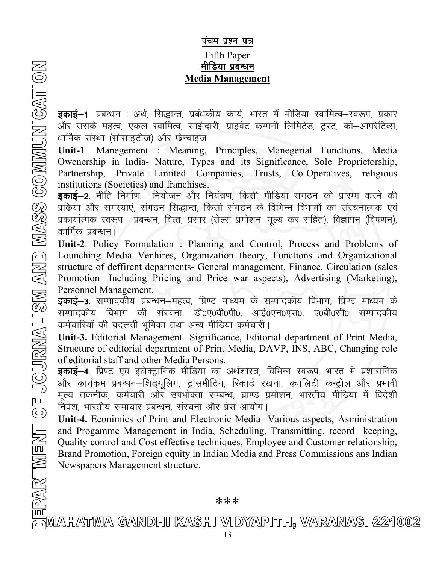## पंचम प्रश्न पत्र **Fifth Paper** मीडिया प्रबन्धन **Media Management**

**इकाई—1**. प्रबन्धन : अर्थ, सिद्धान्त, प्रबंधकीय कार्य, भारत में मीडिया स्वामित्व—स्वरूप, प्रकार और उसके महत्व, एकल स्वामित्व, साझेदारी, प्राइवेट कम्पनी लिमिटेड, ट्रस्ट, को–आपरेटिव्स, धार्मिक संस्था (सोसाइटीज) और फेन्चाइज।

Unit-1. Manegement : Meaning, Principles, Manegerial Functions, Media Owenership in India- Nature, Types and its Significance, Sole Proprietorship, Partnership, Private Limited Companies, Trusts, Co-Operatives, religious institutions (Societies) and franchises.

**इकाई–2.** नीति निर्माण– नियोजन और नियंत्रण, किसी मीडिया संगठन को प्रारम्भ करने की प्रक्रिया और समस्याएं, संगठन सिद्धान्त, किसी संगठन के विभिन्न विभागों का संरचनात्मक एवं प्रकार्यात्मक स्वरूप– प्रबन्धन, वित्त, प्रसार (सेल्स प्रमोशन–मूल्य कर सहित), विज्ञापन (विपणन), कार्मिक प्रबन्धन।

Unit-2. Policy Formulation: Planning and Control, Process and Problems of Lounching Media Venhires, Organization theory, Functions and Organizational structure of deffirent deparments- General management, Finance, Circulation (sales Promotion- Including Pricing and Price war aspects), Advertising (Marketing), Personnel Management.

इकाई-3. सम्पादकीय प्रबन्धन-महत्व, प्रिण्ट माध्यम के सम्पादकीय विभाग, प्रिण्ट माध्यम के सम्पादकीय विभाग की संरचना, डी0ए0वी0पी0, आई0एन0एस0, ए0बी0सी0 सम्पादकीय कर्मचारियों की बदलती भूमिका तथा अन्य मीडिया कर्मचारी।

Unit-3. Editorial Management- Significance, Editorial department of Print Media, Structure of editorial department of Print Media, DAVP, INS, ABC, Changing role of editorial staff and other Media Persons.

**इकाई–4.** प्रिण्ट एवं इलेक्ट्रानिक मीडिया का अर्थशास्त्र, विभिन्न स्वरूप, भारत में प्रशासनिक और कार्यक्रम प्रबन्धन–शिड्यूलिंग, ट्रांसमीटिंग, रिकार्ड रखना, क्वालिटी कन्ट्रोल और प्रभावी मूल्य तकनीक, कर्मचारी और उपभोक्ता सम्बन्ध, ब्राण्ड प्रमोशन, भारतीय मीडिया में विदेशी निवेश, भारतीय समाचार प्रबन्धन, संरचना और प्रेस आयोग।

Unit-4. Econimics of Print and Electronic Media- Various aspects, Asministration and Progamme Management in India, Scheduling, Transmitting, record keeping, Quality control and Cost effective techniques, Employee and Customer relationship, Brand Promotion, Foreign equity in Indian Media and Press Commissions ans Indian Newspapers Management structure.

\*\*\*

<u>tui</u><br>AMAHATMA GANDHI KASHI VIDYAPITH, VARANASI-221002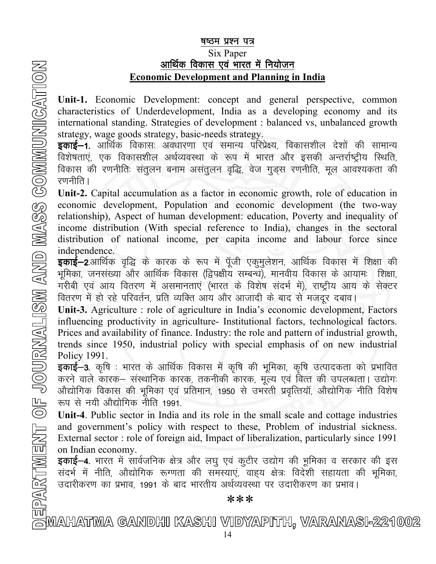## <u>षष्ठम प्रश्न पत्र</u>

## Six Paper <u>आर्थिक विकास एवं भारत में नियोजन</u> Economic Development and Planning in India

Unit-1. Economic Development: concept and general perspective, common characteristics of Underdevelopment, India as a developing economy and its international standing. Strategies of development : balanced vs, unbalanced growth strategy, wage goods strategy, basic-needs strategy.

**इकाई–1**. आर्थिक विकासः अवधारणा एवं समान्य परिप्रेक्ष्य, विकासशील देशों की सामान्य विशेषताएं, एक विकासशील अर्थव्यवस्था के रूप में भारत और इसकी अन्तर्राष्ट्रीय स्थिति, विकास की रणनीतिः संतुलन बनाम असंतुलन वृद्धि, वेज गुड्स रणनीति, मूल आवश्यकता की रणनीति ।

Unit-2. Capital accumulation as a factor in economic growth, role of education in economic development, Population and economic development (the two-way relationship), Aspect of human development: education, Poverty and inequality of income distribution (With special reference to India), changes in the sectoral distribution of national income, per capita income and labour force since independence.

**इकाई—2**.आर्थिक वृद्धि के कारक के रूप में पूँजी एकुमुलेशन, आर्थिक विकास में शिक्षा की भूमिका, जनसंख्या और आर्थिक विकास (द्विपक्षीय सम्बन्ध), मानवीय विकास के आयामः शिक्षा, गरीबी एवं आय वितरण में असमानताएं (भारत के विशेष संदर्भ में), राष्ट्रीय आय के सेक्टर वितरण में हो रहे परिवर्तन, प्रति व्यक्ति आय और आजादी के बाद से मजदूर दबाव।

Unit-3. Agriculture : role of agriculture in India's economic development, Factors influencing productivity in agriculture- Institutional factors, technological factors. Prices and availability of finance. Industry: the role and pattern of industrial growth, trends since 1950, industrial policy with special emphasis of on new industrial Policy 1991.

**इकाई–3**. कृषि : भारत के आर्थिक विकास में कृषि की भूमिका, कृषि उत्पादकता को प्रभावित करने वाले कारक— संस्थानिक कारक, तकनीकी कारक, मूल्य एवं वित्त की उपलब्धता। उद्योगः ओंद्योगिक विकास की भूमिका एवं प्रतिमान, 1950 से उभरती प्रवृत्तियॉ, औद्योगिक नीति विशेष रूप से नयी औद्योगिक नीति 1991.

Unit-4. Public sector in India and its role in the small scale and cottage industries and government's policy with respect to these, Problem of industrial sickness. External sector : role of foreign aid, Impact of liberalization, particularly since 1991 on Indian economy.

**इकाई–4**. भारत में सार्वजनिक क्षेत्र और लघु एवं कुटीर उद्योग की भूमिका व सरकार की इस संदर्भ में नीति, औद्योगिक रूग्णता की समस्याएं, वाह्य क्षेत्रः विदेशी सहायता की भूमिका, उदारीकरण का प्रभाव, 1991 के बाद भारतीय अर्थव्यवस्था पर उदारीकरण का प्रभाव।

\*\*\*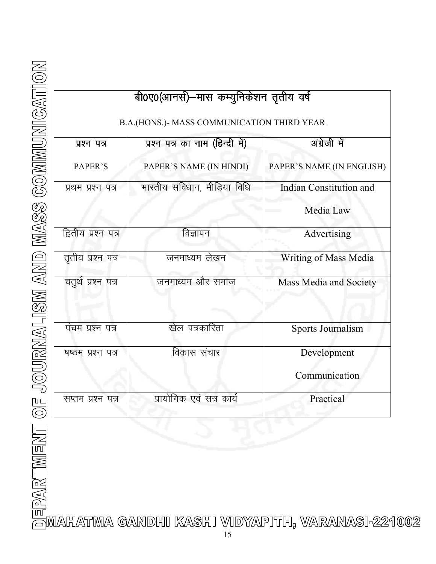|  | <b>THE CONSULTION CONSULTING CONSULTING CONSULTING CONSULTING CONSULTING CONSULTING CONSULTING CONSULTING CONSULTING CONSULTING CONSULTING CONSULTING CONSULTING CONSULTING CONSULTING CONSULTING CONSULTING CONSULTING CONSULT</b> |  |
|--|-------------------------------------------------------------------------------------------------------------------------------------------------------------------------------------------------------------------------------------|--|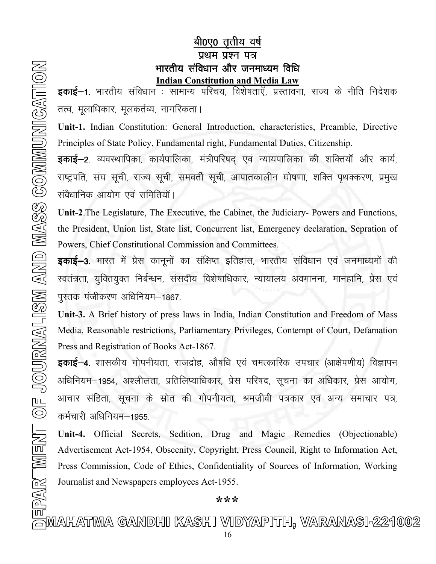# बी0ए0 तृतीय वर्ष प्रथम प्रश्न पत्र

**Example 12**<br>
Example 1. modia of the interaction and Vietnic and the state of the state of the interaction and Vietnic and Vietnic and Vietnic Section<br>
The Section of Warehouse product verificant and Vietnic Sectional An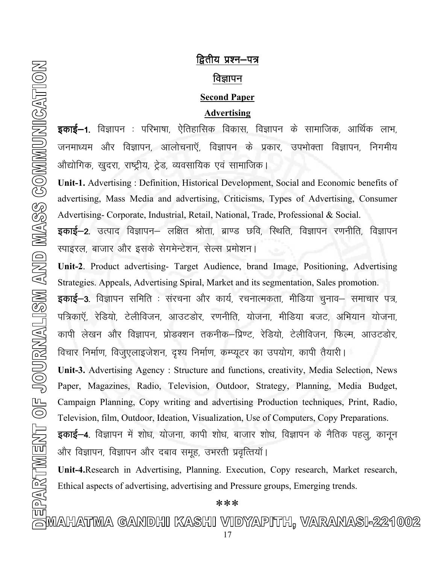# द्वितीय प्रश्न–पत्र विज्ञापन

## **Second Paper**

## Advertising

इकाई–1. विज्ञापन : परिभाषा, ऐतिहासिक विकास, विज्ञापन के सामाजिक, आर्थिक लाभ, जनमाध्यम और विज्ञापन, आलोचनाएँ, विज्ञापन के प्रकार, उपभोक्ता विज्ञापन, निगमीय ओद्योगिक, खुदरा, राष्ट्रीय, ट्रेड, व्यवसायिक एवं सामाजिक।

Unit-1. Advertising : Definition, Historical Development, Social and Economic benefits of advertising, Mass Media and advertising, Criticisms, Types of Advertising, Consumer Advertising- Corporate, Industrial, Retail, National, Trade, Professional & Social.

इकाई–2. उत्पाद विज्ञापन– लक्षित श्रोता, ब्राण्ड छवि, स्थिति, विज्ञापन रणनीति, विज्ञापन रपाइरल, बाजार और इसके सेगमेन्टेशन, सेल्स प्रमोशन।

Unit-2. Product advertising- Target Audience, brand Image, Positioning, Advertising Strategies. Appeals, Advertising Spiral, Market and its segmentation, Sales promotion.

**इकाई–3**. विज्ञापन समिति : संरचना और कार्य, रचनात्मकता, मीडिया चुनाव– समाचार पत्र, पत्रिकाएँ, रेडियो, टेलीविजन, आउटडोर, रणनीति, योजना, मीडिया बजट, अभियान योजना, कापी लेखन और विज्ञापन, प्रोडक्शन तकनीक–प्रिण्ट, रेडियो, टेलीविजन, फिल्म, आउटडोर, विचार निर्माण, विजुएलाइजेशन, दृश्य निर्माण, कम्प्यूटर का उपयोग, कापी तैयारी।

Unit-3. Advertising Agency : Structure and functions, creativity, Media Selection, News Paper, Magazines, Radio, Television, Outdoor, Strategy, Planning, Media Budget, Campaign Planning, Copy writing and advertising Production techniques, Print, Radio, Television, film, Outdoor, Ideation, Visualization, Use of Computers, Copy Preparations.

**इकाई–4**. विज्ञापन में शोध, योजना, कापी शोध, बाजार शोध, विज्ञापन के नैतिक पहलु, कानून ओर विज्ञापन, विज्ञापन और दबाव समूह, उभरती प्रवृत्तियाँ।

Unit-4.Research in Advertising, Planning. Execution, Copy research, Market research, Ethical aspects of advertising, advertising and Pressure groups, Emerging trends.

<del>e]</del><br>|w|<br>|a||MAHATMA GANDHI KASHI VIDYAPITH, VARANASI-221002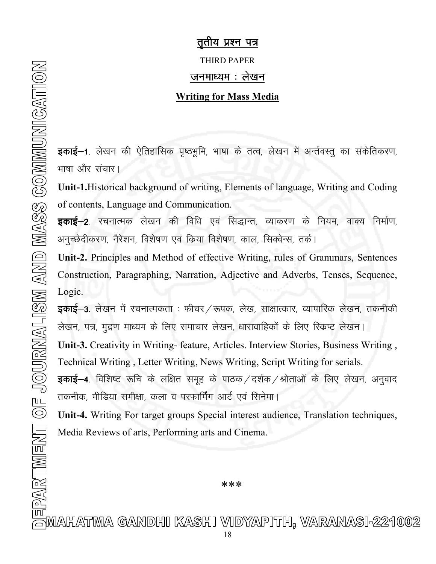## तुतीय प्रश्न पत्र

THIRD PAPER

### जनमाध्यम $:$  लेखन $:$

### Writing for Mass Media

**इकाई–1**. लेखन की ऐतिहासिक पृष्ठभूमि, भाषा के तत्व, लेखन में अर्न्तवस्तु का संकेतिकरण, भाषा और संचार।

Unit-1.Historical background of writing, Elements of language, Writing and Coding of contents, Language and Communication.

**इकाई–2**. रचनात्मक लेखन की विधि एवं सिद्धान्त, व्याकरण के नियम, वाक्य निर्माण, अनुच्छेदीकरण, नैरेशन, विशेषण एवं किया विशेषण, काल, सिक्वेन्स, तर्क।

Unit-2. Principles and Method of effective Writing, rules of Grammars, Sentences Construction, Paragraphing, Narration, Adjective and Adverbs, Tenses, Sequence, Logic.

**इकाई–3.** लेखन में रचनात्मकता : फीचर ⁄ रूपक, लेख, साक्षात्कार, व्यापारिक लेखन, तकनीकी लेखन, पत्र, मुद्रण माध्यम के लिए समाचार लेखन, धारावाहिकों के लिए स्किप्ट लेखन।

Unit-3. Creativity in Writing- feature, Articles. Interview Stories, Business Writing , Technical Writing , Letter Writing, News Writing, Script Writing for serials.

**इकाई–4**. विशिष्ट रूचि के लक्षित समूह के पाठक ⁄ दर्शक ⁄ श्रोताओं के लिए लेखन, अनुवाद तकनीक, मीडिया समीक्षा, कला व परफार्मिंग आर्ट एवं सिनेमा।

Unit-4. Writing For target groups Special interest audience, Translation techniques, Media Reviews of arts, Performing arts and Cinema.

\*\*\*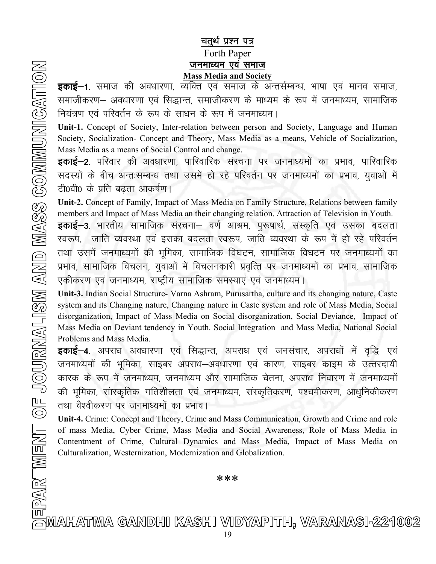## चतुर्थ प्रश्न पत्र Forth Paper जनमाध्यम एवं समाज Mass Media and Society

**इकाई–1.** समाज की अवधारणा, व्यक्ति एवं समाज के अन्तर्सम्बन्ध, भाषा एवं मानव समाज, समाजीकरण– अवधारणा एवं सिद्धान्त, समाजीकरण के माध्यम के रूप में जनमाध्यम, सामाजिक नियंत्रण एवं परिवर्तन के रूप के साधन के रूप में जनमाध्यम।

Unit-1. Concept of Society, Inter-relation between person and Society, Language and Human Society, Socialization- Concept and Theory, Mass Media as a means, Vehicle of Socialization, Mass Media as a means of Social Control and change.

**इकाई—2**. परिवार की अवधारणा, पारिवारिक संरचना पर जनमाध्यमों का प्रभाव, पारिवारिक सदस्यों के बीच अन्तःसम्बन्ध तथा उसमें हो रहे परिवर्तन पर जनमाध्यमों का प्रभाव, युवाओं में टी0वी0 के प्रति बढता आकर्षण।

Unit-2. Concept of Family, Impact of Mass Media on Family Structure, Relations between family members and Impact of Mass Media an their changing relation. Attraction of Television in Youth.

**इकाई–3.** भारतीय सामाजिक संरचना– वर्ण आश्रम, पुरूषार्थ, संस्कृति एवं उसका बदलता स्वरूप, जाति व्यवस्था एवं इसका बदलता स्वरूप, जाति व्यवस्था के रूप में हो रहे परिवर्तन तथा उसमें जनमाध्यमों की भूमिका, सामाजिक विघटन, सामाजिक विघटन पर जनमाध्यमों का प्रभाव, सामाजिक विचलन, युवाओं में विचलनकारी प्रवृत्ति पर जनमाध्यमों का प्रभाव, सामाजिक एकीकरण एवं जनमाध्यम, राष्ट्रीय सामाजिक समस्याएं एवं जनमाध्यम।

Unit-3. Indian Social Structure- Varna Ashram, Purusartha, culture and its changing nature, Caste system and its Changing nature, Changing nature in Caste system and role of Mass Media, Social disorganization, Impact of Mass Media on Social disorganization, Social Deviance, Impact of Mass Media on Deviant tendency in Youth. Social Integration and Mass Media, National Social Problems and Mass Media.

**इकाई–4.** अपराध अवधारणा एवं सिद्धान्त, अपराध एवं जनसंचार, अपराधों में वृद्धि एवं जनमाध्यमों की भूमिका, साइबर अपराध–अवधारणा एवं कारण, साइबर काइम के उत्तरदायी कारक के रूप में जनमाध्यम, जनमाध्यम और सामाजिक चेतना, अपराध निवारण में जनमाध्यमों की भूमिका, सांस्कृतिक गतिशीलता एवं जनमाध्यम, संस्कृतिकरण, पश्चमीकरण, आधुनिकीकरण तथा वैश्वीकरण पर जनमाध्यमों का प्रभाव।

Unit-4. Crime: Concept and Theory, Crime and Mass Communication, Growth and Crime and role of mass Media, Cyber Crime, Mass Media and Social Awareness, Role of Mass Media in Contentment of Crime, Cultural Dynamics and Mass Media, Impact of Mass Media on Culturalization, Westernization, Modernization and Globalization.

\*\*\*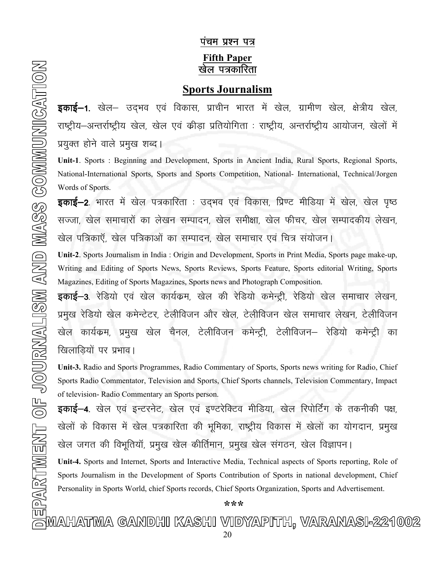## <u>पंचम प्रश्न पत्र</u> Fifth Paper <u>खेल पत्रकारिता</u>

## Sports Journalism

**इकाई–1**. खेल– उद्भव एवं विकास, प्राचीन भारत में खेल, ग्रामीण खेल, क्षेत्रीय खेल, राष्ट्रीय–अन्तर्राष्ट्रीय खेल, खेल एवं कीड़ा प्रतियोगिता : राष्ट्रीय, अन्तर्राष्ट्रीय आयोजन, खेलों में प्रयुक्त होने वाले प्रमुख शब्द।

Unit-1. Sports : Beginning and Development, Sports in Ancient India, Rural Sports, Regional Sports, National-International Sports, Sports and Sports Competition, National- International, Technical/Jorgen Words of Sports.

**इकाई—2**. भारत में खेल पत्रकारिता : उद्भव एवं विकास, प्रिण्ट मीडिया में खेल, खेल पृष्ठ सज्जा, खेल समाचारों का लेखन सम्पादन, खेल समीक्षा, खेल फीचर, खेल सम्पादकीय लेखन, खेल पत्रिकाऍ, खेल पत्रिकाओं का सम्पादन, खेल समाचार एवं चित्र संयोजन।

Unit-2. Sports Journalism in India : Origin and Development, Sports in Print Media, Sports page make-up, Writing and Editing of Sports News, Sports Reviews, Sports Feature, Sports editorial Writing, Sports Magazines, Editing of Sports Magazines, Sports news and Photograph Composition.

**इकाई–3**. रेडियो एवं खेल कार्यकम, खेल की रेडियो कमेन्ट्री, रेडियो खेल समाचार लेखन, प्रमुख रेडियो खेल कमेन्टेटर, टेलीविजन और खेल, टेलीविजन खेल समाचार लेखन, टेलीविजन खेल कार्यक्रम, प्रमुख खेल चैनल, टेलीविजन कमेन्ट्री, टेलीविजन— रेडियो कमेन्ट्री का खिलाड़ियों पर प्रभाव।

Unit-3. Radio and Sports Programmes, Radio Commentary of Sports, Sports news writing for Radio, Chief Sports Radio Commentator, Television and Sports, Chief Sports channels, Television Commentary, Impact of television- Radio Commentary an Sports person.

**इकाई—4**. खेल एवं इन्टरनेट, खेल एवं इण्टरेक्टिव मीडिया, खेल रिपोर्टिंग के तकनीकी पक्ष, खेलों के विकास में खेल पत्रकारिता की भूमिका, राष्ट्रीय विकास में खेलों का योगदान, प्रमुख खेल जगत की विभूतियॉ, प्रमुख खेल कीर्तिमान, प्रमुख खेल संगठन, खेल विज्ञापन।

Unit-4. Sports and Internet, Sports and Interactive Media, Technical aspects of Sports reporting, Role of Sports Journalism in the Development of Sports Contribution of Sports in national development, Chief Personality in Sports World, chief Sports records, Chief Sports Organization, Sports and Advertisement.

\*\*\*